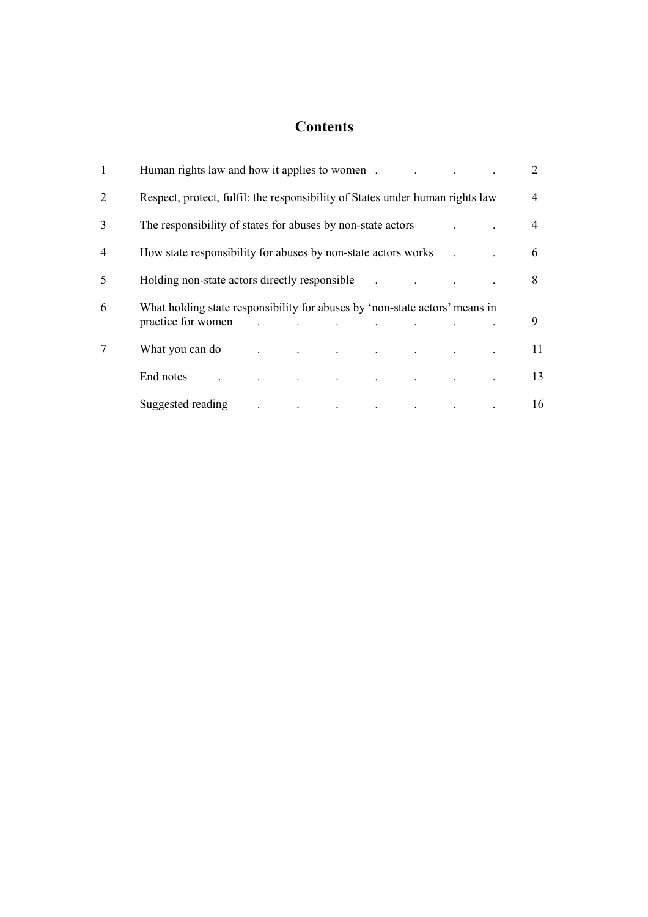# **Contents**

| 1 | Human rights law and how it applies to women.                                                     |  |  |  |                                                 |  |  |  | 2  |
|---|---------------------------------------------------------------------------------------------------|--|--|--|-------------------------------------------------|--|--|--|----|
| 2 | Respect, protect, fulfil: the responsibility of States under human rights law                     |  |  |  |                                                 |  |  |  | 4  |
| 3 | The responsibility of states for abuses by non-state actors                                       |  |  |  |                                                 |  |  |  | 4  |
| 4 | How state responsibility for abuses by non-state actors works                                     |  |  |  |                                                 |  |  |  | 6  |
| 5 | Holding non-state actors directly responsible                                                     |  |  |  |                                                 |  |  |  | 8  |
| 6 | What holding state responsibility for abuses by 'non-state actors' means in<br>practice for women |  |  |  |                                                 |  |  |  | 9  |
| 7 | What you can do                                                                                   |  |  |  | the contract of the contract of the contract of |  |  |  | 11 |
|   | End notes                                                                                         |  |  |  | $\Box$                                          |  |  |  | 13 |
|   | Suggested reading                                                                                 |  |  |  | the contract of the contract of the             |  |  |  | 16 |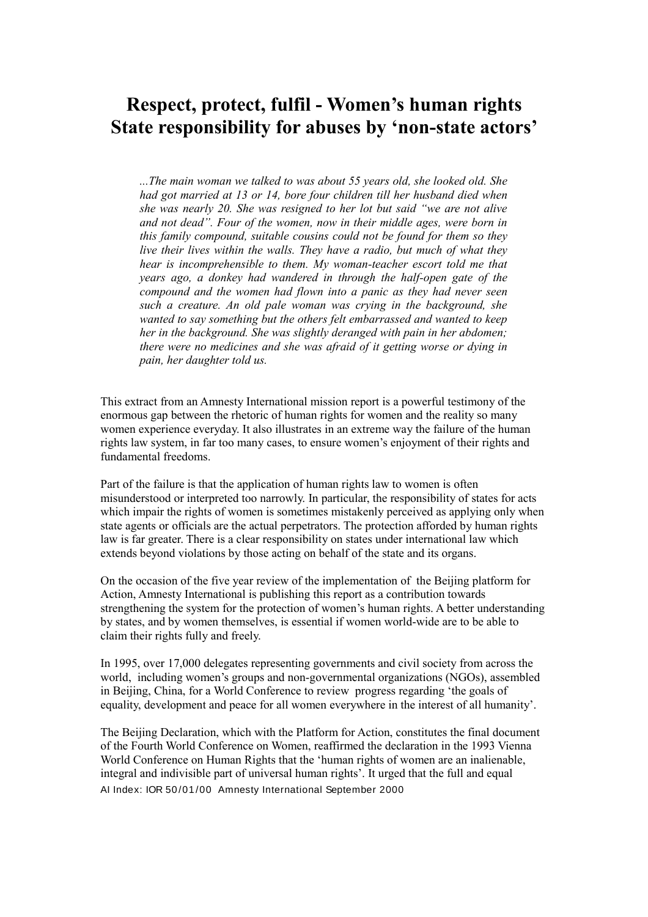# **Respect, protect, fulfil - Women's human rights State responsibility for abuses by 'non-state actors'**

*...The main woman we talked to was about 55 years old, she looked old. She had got married at 13 or 14, bore four children till her husband died when she was nearly 20. She was resigned to her lot but said "we are not alive and not dead". Four of the women, now in their middle ages, were born in this family compound, suitable cousins could not be found for them so they live their lives within the walls. They have a radio, but much of what they hear is incomprehensible to them. My woman-teacher escort told me that years ago, a donkey had wandered in through the half-open gate of the compound and the women had flown into a panic as they had never seen such a creature. An old pale woman was crying in the background, she wanted to say something but the others felt embarrassed and wanted to keep her in the background. She was slightly deranged with pain in her abdomen; there were no medicines and she was afraid of it getting worse or dying in pain, her daughter told us.*

This extract from an Amnesty International mission report is a powerful testimony of the enormous gap between the rhetoric of human rights for women and the reality so many women experience everyday. It also illustrates in an extreme way the failure of the human rights law system, in far too many cases, to ensure women's enjoyment of their rights and fundamental freedoms.

Part of the failure is that the application of human rights law to women is often misunderstood or interpreted too narrowly. In particular, the responsibility of states for acts which impair the rights of women is sometimes mistakenly perceived as applying only when state agents or officials are the actual perpetrators. The protection afforded by human rights law is far greater. There is a clear responsibility on states under international law which extends beyond violations by those acting on behalf of the state and its organs.

On the occasion of the five year review of the implementation of the Beijing platform for Action, Amnesty International is publishing this report as a contribution towards strengthening the system for the protection of women's human rights. A better understanding by states, and by women themselves, is essential if women world-wide are to be able to claim their rights fully and freely.

In 1995, over 17,000 delegates representing governments and civil society from across the world, including women's groups and non-governmental organizations (NGOs), assembled in Beijing, China, for a World Conference to review progress regarding 'the goals of equality, development and peace for all women everywhere in the interest of all humanity'.

The Beijing Declaration, which with the Platform for Action, constitutes the final document of the Fourth World Conference on Women, reaffirmed the declaration in the 1993 Vienna World Conference on Human Rights that the 'human rights of women are an inalienable, integral and indivisible part of universal human rights'. It urged that the full and equal AI Index: IOR 50 /01 /00 Amnesty International September 2000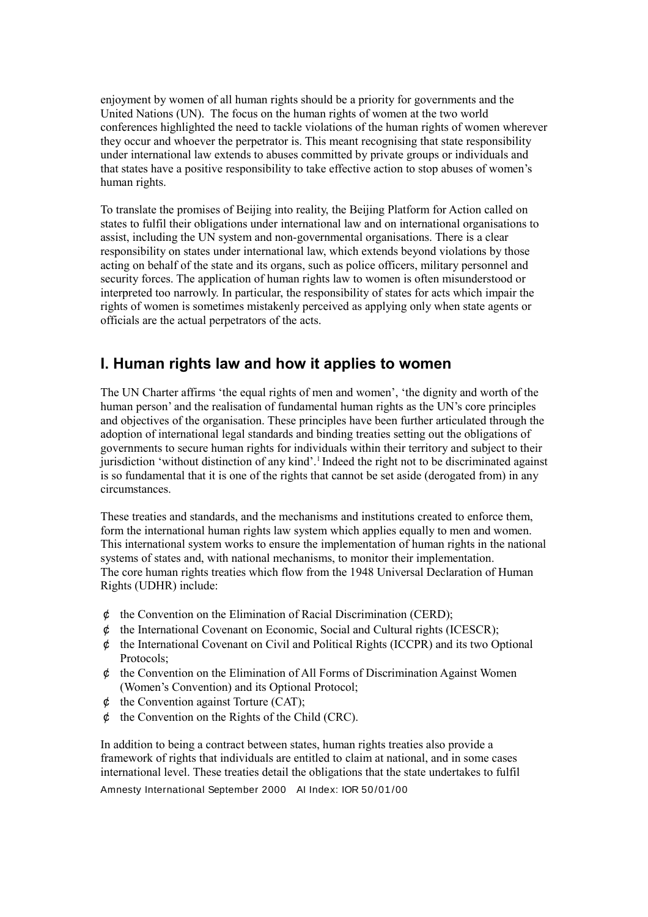enjoyment by women of all human rights should be a priority for governments and the United Nations (UN). The focus on the human rights of women at the two world conferences highlighted the need to tackle violations of the human rights of women wherever they occur and whoever the perpetrator is. This meant recognising that state responsibility under international law extends to abuses committed by private groups or individuals and that states have a positive responsibility to take effective action to stop abuses of women's human rights.

To translate the promises of Beijing into reality, the Beijing Platform for Action called on states to fulfil their obligations under international law and on international organisations to assist, including the UN system and non-governmental organisations. There is a clear responsibility on states under international law, which extends beyond violations by those acting on behalf of the state and its organs, such as police officers, military personnel and security forces. The application of human rights law to women is often misunderstood or interpreted too narrowly. In particular, the responsibility of states for acts which impair the rights of women is sometimes mistakenly perceived as applying only when state agents or officials are the actual perpetrators of the acts.

# **I. Human rights law and how it applies to women**

The UN Charter affirms 'the equal rights of men and women', 'the dignity and worth of the human person' and the realisation of fundamental human rights as the UN's core principles and objectives of the organisation. These principles have been further articulated through the adoption of international legal standards and binding treaties setting out the obligations of governments to secure human rights for individuals within their territory and subject to their jurisdiction 'without distinction of any kind'.<sup>1</sup> Indeed the right not to be discriminated against is so fundamental that it is one of the rights that cannot be set aside (derogated from) in any circumstances.

These treaties and standards, and the mechanisms and institutions created to enforce them, form the international human rights law system which applies equally to men and women. This international system works to ensure the implementation of human rights in the national systems of states and, with national mechanisms, to monitor their implementation. The core human rights treaties which flow from the 1948 Universal Declaration of Human Rights (UDHR) include:

- ¢ the Convention on the Elimination of Racial Discrimination (CERD);
- $\phi$  the International Covenant on Economic, Social and Cultural rights (ICESCR);
- ¢ the International Covenant on Civil and Political Rights (ICCPR) and its two Optional Protocols;
- $\phi$  the Convention on the Elimination of All Forms of Discrimination Against Women (Women's Convention) and its Optional Protocol;
- ¢ the Convention against Torture (CAT);
- ¢ the Convention on the Rights of the Child (CRC).

In addition to being a contract between states, human rights treaties also provide a framework of rights that individuals are entitled to claim at national, and in some cases international level. These treaties detail the obligations that the state undertakes to fulfil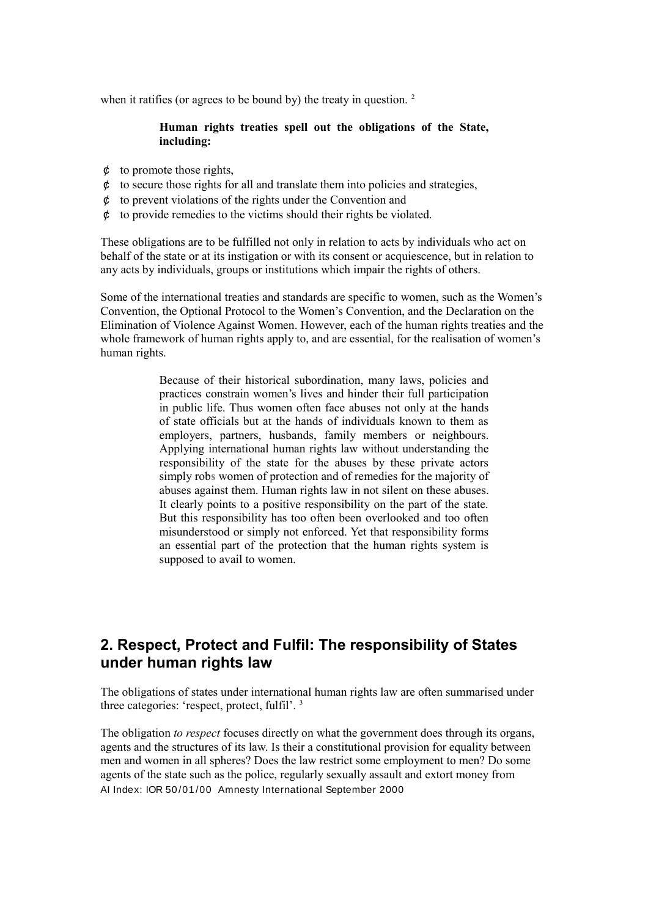when it ratifies (or agrees to be bound by) the treaty in question. <sup>2</sup>

### **Human rights treaties spell out the obligations of the State, including:**

- $\phi$  to promote those rights,
- $\phi$  to secure those rights for all and translate them into policies and strategies,
- ¢ to prevent violations of the rights under the Convention and
- ¢ to provide remedies to the victims should their rights be violated.

These obligations are to be fulfilled not only in relation to acts by individuals who act on behalf of the state or at its instigation or with its consent or acquiescence, but in relation to any acts by individuals, groups or institutions which impair the rights of others.

Some of the international treaties and standards are specific to women, such as the Women's Convention, the Optional Protocol to the Women's Convention, and the Declaration on the Elimination of Violence Against Women. However, each of the human rights treaties and the whole framework of human rights apply to, and are essential, for the realisation of women's human rights.

> Because of their historical subordination, many laws, policies and practices constrain women's lives and hinder their full participation in public life. Thus women often face abuses not only at the hands of state officials but at the hands of individuals known to them as employers, partners, husbands, family members or neighbours. Applying international human rights law without understanding the responsibility of the state for the abuses by these private actors simply rob**s** women of protection and of remedies for the majority of abuses against them. Human rights law in not silent on these abuses. It clearly points to a positive responsibility on the part of the state. But this responsibility has too often been overlooked and too often misunderstood or simply not enforced. Yet that responsibility forms an essential part of the protection that the human rights system is supposed to avail to women.

# **2. Respect, Protect and Fulfil: The responsibility of States under human rights law**

The obligations of states under international human rights law are often summarised under three categories: 'respect, protect, fulfil'. <sup>3</sup>

The obligation *to respect* focuses directly on what the government does through its organs, agents and the structures of its law. Is their a constitutional provision for equality between men and women in all spheres? Does the law restrict some employment to men? Do some agents of the state such as the police, regularly sexually assault and extort money from AI Index: IOR 50 /01 /00 Amnesty International September 2000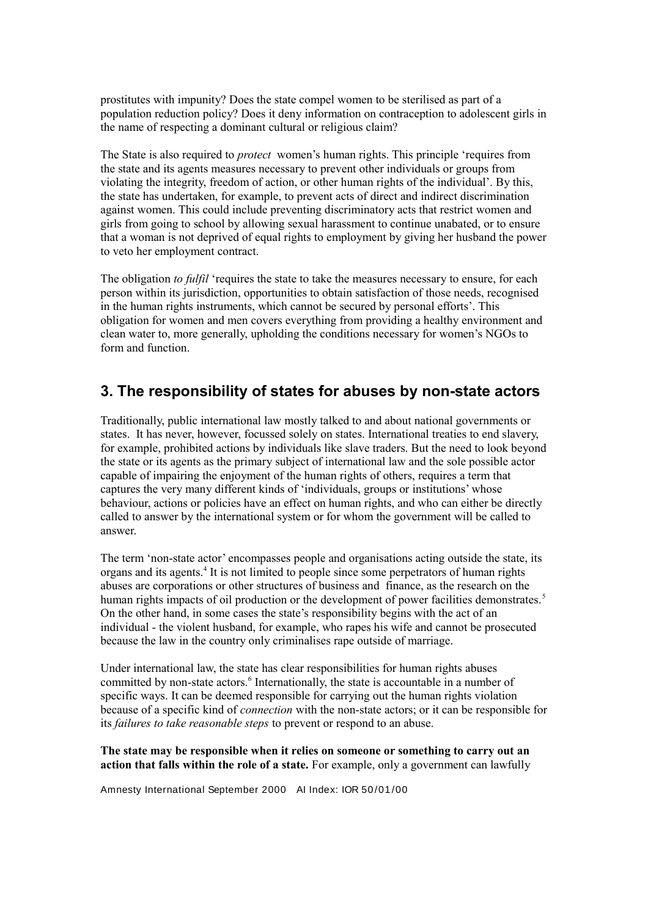prostitutes with impunity? Does the state compel women to be sterilised as part of a population reduction policy? Does it deny information on contraception to adolescent girls in the name of respecting a dominant cultural or religious claim?

The State is also required to *protect* women's human rights. This principle 'requires from the state and its agents measures necessary to prevent other individuals or groups from violating the integrity, freedom of action, or other human rights of the individual'. By this, the state has undertaken, for example, to prevent acts of direct and indirect discrimination against women. This could include preventing discriminatory acts that restrict women and girls from going to school by allowing sexual harassment to continue unabated, or to ensure that a woman is not deprived of equal rights to employment by giving her husband the power to veto her employment contract.

The obligation *to fulfil* 'requires the state to take the measures necessary to ensure, for each person within its jurisdiction, opportunities to obtain satisfaction of those needs, recognised in the human rights instruments, which cannot be secured by personal efforts'. This obligation for women and men covers everything from providing a healthy environment and clean water to, more generally, upholding the conditions necessary for women's NGOs to form and function.

### **3. The responsibility of states for abuses by non-state actors**

Traditionally, public international law mostly talked to and about national governments or states. It has never, however, focussed solely on states. International treaties to end slavery, for example, prohibited actions by individuals like slave traders. But the need to look beyond the state or its agents as the primary subject of international law and the sole possible actor capable of impairing the enjoyment of the human rights of others, requires a term that captures the very many different kinds of 'individuals, groups or institutions' whose behaviour, actions or policies have an effect on human rights, and who can either be directly called to answer by the international system or for whom the government will be called to answer.

The term 'non-state actor' encompasses people and organisations acting outside the state, its organs and its agents.<sup>4</sup> It is not limited to people since some perpetrators of human rights abuses are corporations or other structures of business and finance, as the research on the human rights impacts of oil production or the development of power facilities demonstrates.<sup>5</sup> On the other hand, in some cases the state's responsibility begins with the act of an individual - the violent husband, for example, who rapes his wife and cannot be prosecuted because the law in the country only criminalises rape outside of marriage.

Under international law, the state has clear responsibilities for human rights abuses committed by non-state actors.<sup>6</sup> Internationally, the state is accountable in a number of specific ways. It can be deemed responsible for carrying out the human rights violation because of a specific kind of *connection* with the non-state actors; or it can be responsible for its *failures to take reasonable steps* to prevent or respond to an abuse.

**The state may be responsible when it relies on someone or something to carry out an action that falls within the role of a state.** For example, only a government can lawfully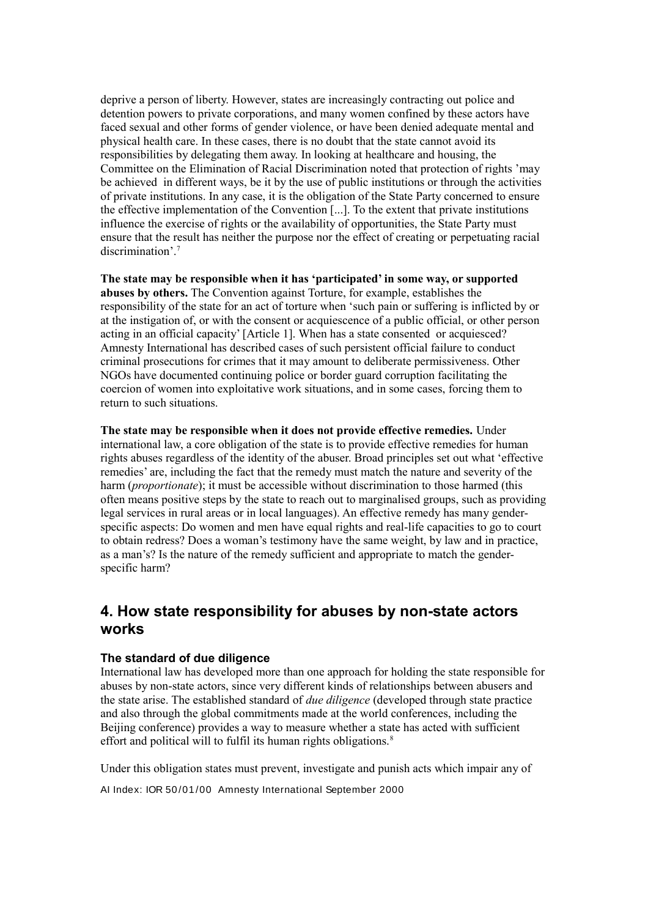deprive a person of liberty. However, states are increasingly contracting out police and detention powers to private corporations, and many women confined by these actors have faced sexual and other forms of gender violence, or have been denied adequate mental and physical health care. In these cases, there is no doubt that the state cannot avoid its responsibilities by delegating them away. In looking at healthcare and housing, the Committee on the Elimination of Racial Discrimination noted that protection of rights 'may be achieved in different ways, be it by the use of public institutions or through the activities of private institutions. In any case, it is the obligation of the State Party concerned to ensure the effective implementation of the Convention [...]. To the extent that private institutions influence the exercise of rights or the availability of opportunities, the State Party must ensure that the result has neither the purpose nor the effect of creating or perpetuating racial discrimination'.<sup>7</sup>

**The state may be responsible when it has 'participated' in some way, or supported abuses by others.** The Convention against Torture, for example, establishes the responsibility of the state for an act of torture when 'such pain or suffering is inflicted by or at the instigation of, or with the consent or acquiescence of a public official, or other person acting in an official capacity' [Article 1]. When has a state consented or acquiesced? Amnesty International has described cases of such persistent official failure to conduct criminal prosecutions for crimes that it may amount to deliberate permissiveness. Other NGOs have documented continuing police or border guard corruption facilitating the coercion of women into exploitative work situations, and in some cases, forcing them to return to such situations.

**The state may be responsible when it does not provide effective remedies.** Under international law, a core obligation of the state is to provide effective remedies for human rights abuses regardless of the identity of the abuser. Broad principles set out what 'effective remedies' are, including the fact that the remedy must match the nature and severity of the harm (*proportionate*); it must be accessible without discrimination to those harmed (this often means positive steps by the state to reach out to marginalised groups, such as providing legal services in rural areas or in local languages). An effective remedy has many genderspecific aspects: Do women and men have equal rights and real-life capacities to go to court to obtain redress? Does a woman's testimony have the same weight, by law and in practice, as a man's? Is the nature of the remedy sufficient and appropriate to match the genderspecific harm?

### **4. How state responsibility for abuses by non-state actors works**

#### **The standard of due diligence**

International law has developed more than one approach for holding the state responsible for abuses by non-state actors, since very different kinds of relationships between abusers and the state arise. The established standard of *due diligence* (developed through state practice and also through the global commitments made at the world conferences, including the Beijing conference) provides a way to measure whether a state has acted with sufficient effort and political will to fulfil its human rights obligations.<sup>8</sup>

Under this obligation states must prevent, investigate and punish acts which impair any of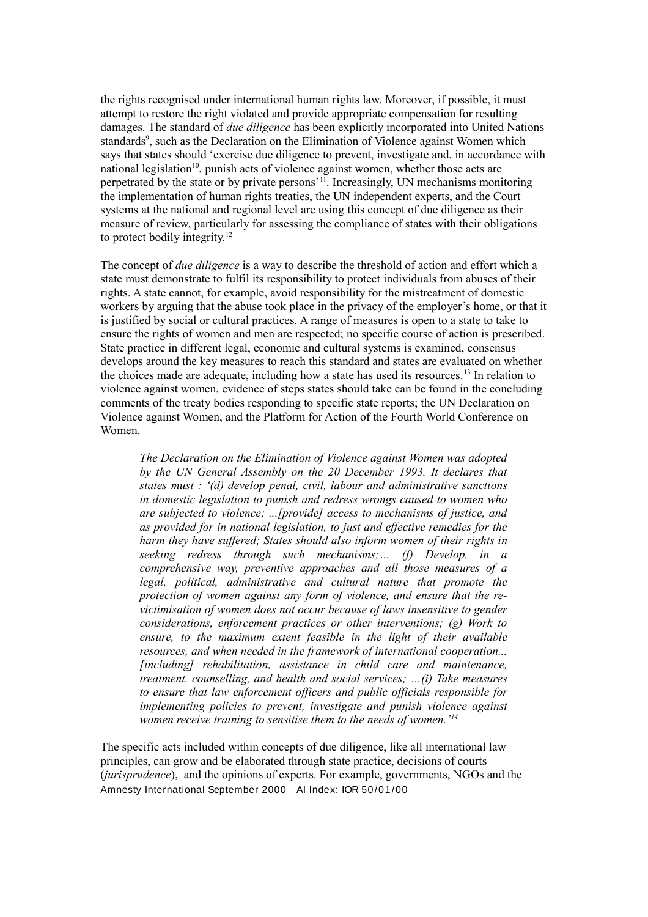the rights recognised under international human rights law. Moreover, if possible, it must attempt to restore the right violated and provide appropriate compensation for resulting damages. The standard of *due diligence* has been explicitly incorporated into United Nations standards<sup>9</sup>, such as the Declaration on the Elimination of Violence against Women which says that states should 'exercise due diligence to prevent, investigate and, in accordance with national legislation<sup>10</sup>, punish acts of violence against women, whether those acts are perpetrated by the state or by private persons'<sup>11</sup>. Increasingly, UN mechanisms monitoring the implementation of human rights treaties, the UN independent experts, and the Court systems at the national and regional level are using this concept of due diligence as their measure of review, particularly for assessing the compliance of states with their obligations to protect bodily integrity.<sup>12</sup>

The concept of *due diligence* is a way to describe the threshold of action and effort which a state must demonstrate to fulfil its responsibility to protect individuals from abuses of their rights. A state cannot, for example, avoid responsibility for the mistreatment of domestic workers by arguing that the abuse took place in the privacy of the employer's home, or that it is justified by social or cultural practices. A range of measures is open to a state to take to ensure the rights of women and men are respected; no specific course of action is prescribed. State practice in different legal, economic and cultural systems is examined, consensus develops around the key measures to reach this standard and states are evaluated on whether the choices made are adequate, including how a state has used its resources.<sup>13</sup> In relation to violence against women, evidence of steps states should take can be found in the concluding comments of the treaty bodies responding to specific state reports; the UN Declaration on Violence against Women, and the Platform for Action of the Fourth World Conference on Women.

*The Declaration on the Elimination of Violence against Women was adopted by the UN General Assembly on the 20 December 1993. It declares that states must : '(d) develop penal, civil, labour and administrative sanctions in domestic legislation to punish and redress wrongs caused to women who are subjected to violence; ...[provide] access to mechanisms of justice, and as provided for in national legislation, to just and effective remedies for the harm they have suffered; States should also inform women of their rights in seeking redress through such mechanisms;… (f) Develop, in a comprehensive way, preventive approaches and all those measures of a legal, political, administrative and cultural nature that promote the protection of women against any form of violence, and ensure that the revictimisation of women does not occur because of laws insensitive to gender considerations, enforcement practices or other interventions; (g) Work to ensure, to the maximum extent feasible in the light of their available resources, and when needed in the framework of international cooperation... [including] rehabilitation, assistance in child care and maintenance, treatment, counselling, and health and social services; …(i) Take measures to ensure that law enforcement officers and public officials responsible for implementing policies to prevent, investigate and punish violence against women receive training to sensitise them to the needs of women.'<sup>14</sup>*

The specific acts included within concepts of due diligence, like all international law principles, can grow and be elaborated through state practice, decisions of courts (*jurisprudence*), and the opinions of experts. For example, governments, NGOs and the Amnesty International September 2000 AI Index: IOR 50/01/00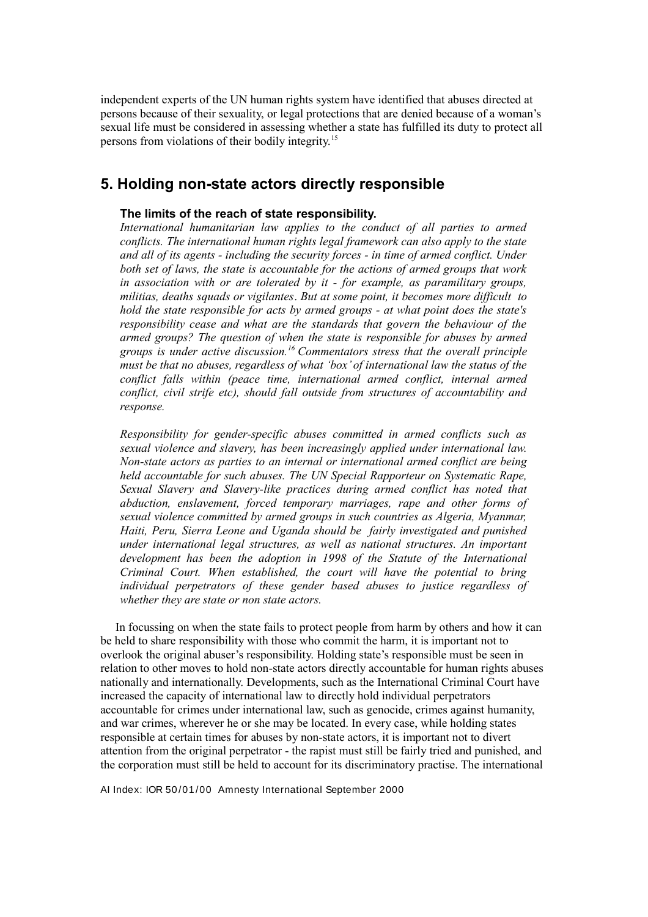independent experts of the UN human rights system have identified that abuses directed at persons because of their sexuality, or legal protections that are denied because of a woman's sexual life must be considered in assessing whether a state has fulfilled its duty to protect all persons from violations of their bodily integrity.<sup>15</sup>

### **5. Holding non-state actors directly responsible**

### **The limits of the reach of state responsibility.**

*International humanitarian law applies to the conduct of all parties to armed conflicts. The international human rights legal framework can also apply to the state and all of its agents - including the security forces - in time of armed conflict. Under both set of laws, the state is accountable for the actions of armed groups that work in association with or are tolerated by it - for example, as paramilitary groups, militias, deaths squads or vigilantes*. *But at some point, it becomes more difficult to hold the state responsible for acts by armed groups - at what point does the state's responsibility cease and what are the standards that govern the behaviour of the armed groups? The question of when the state is responsible for abuses by armed groups is under active discussion.<sup>16</sup>Commentators stress that the overall principle must be that no abuses, regardless of what 'box' of international law the status of the conflict falls within (peace time, international armed conflict, internal armed conflict, civil strife etc), should fall outside from structures of accountability and response.*

*Responsibility for gender-specific abuses committed in armed conflicts such as sexual violence and slavery, has been increasingly applied under international law. Non-state actors as parties to an internal or international armed conflict are being held accountable for such abuses. The UN Special Rapporteur on Systematic Rape, Sexual Slavery and Slavery-like practices during armed conflict has noted that abduction, enslavement, forced temporary marriages, rape and other forms of sexual violence committed by armed groups in such countries as Algeria, Myanmar, Haiti, Peru, Sierra Leone and Uganda should be fairly investigated and punished under international legal structures, as well as national structures. An important development has been the adoption in 1998 of the Statute of the International Criminal Court. When established, the court will have the potential to bring individual perpetrators of these gender based abuses to justice regardless of whether they are state or non state actors.* 

 In focussing on when the state fails to protect people from harm by others and how it can be held to share responsibility with those who commit the harm, it is important not to overlook the original abuser's responsibility. Holding state's responsible must be seen in relation to other moves to hold non-state actors directly accountable for human rights abuses nationally and internationally. Developments, such as the International Criminal Court have increased the capacity of international law to directly hold individual perpetrators accountable for crimes under international law, such as genocide, crimes against humanity, and war crimes, wherever he or she may be located. In every case, while holding states responsible at certain times for abuses by non-state actors, it is important not to divert attention from the original perpetrator - the rapist must still be fairly tried and punished, and the corporation must still be held to account for its discriminatory practise. The international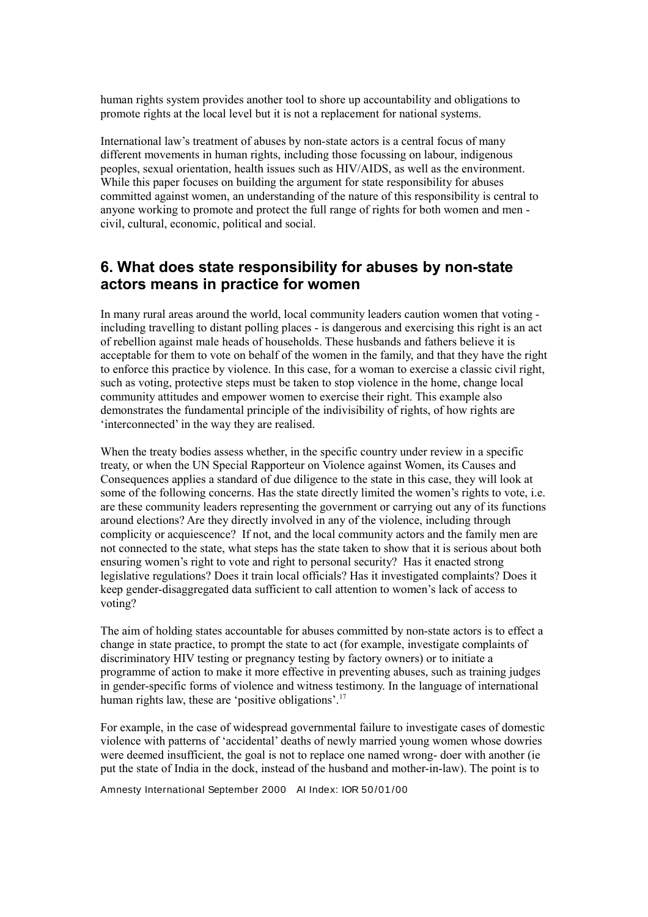human rights system provides another tool to shore up accountability and obligations to promote rights at the local level but it is not a replacement for national systems.

International law's treatment of abuses by non-state actors is a central focus of many different movements in human rights, including those focussing on labour, indigenous peoples, sexual orientation, health issues such as HIV/AIDS, as well as the environment. While this paper focuses on building the argument for state responsibility for abuses committed against women, an understanding of the nature of this responsibility is central to anyone working to promote and protect the full range of rights for both women and men civil, cultural, economic, political and social.

### **6. What does state responsibility for abuses by non-state actors means in practice for women**

In many rural areas around the world, local community leaders caution women that voting including travelling to distant polling places - is dangerous and exercising this right is an act of rebellion against male heads of households. These husbands and fathers believe it is acceptable for them to vote on behalf of the women in the family, and that they have the right to enforce this practice by violence. In this case, for a woman to exercise a classic civil right, such as voting, protective steps must be taken to stop violence in the home, change local community attitudes and empower women to exercise their right. This example also demonstrates the fundamental principle of the indivisibility of rights, of how rights are 'interconnected' in the way they are realised.

When the treaty bodies assess whether, in the specific country under review in a specific treaty, or when the UN Special Rapporteur on Violence against Women, its Causes and Consequences applies a standard of due diligence to the state in this case, they will look at some of the following concerns. Has the state directly limited the women's rights to vote, i.e. are these community leaders representing the government or carrying out any of its functions around elections? Are they directly involved in any of the violence, including through complicity or acquiescence? If not, and the local community actors and the family men are not connected to the state, what steps has the state taken to show that it is serious about both ensuring women's right to vote and right to personal security? Has it enacted strong legislative regulations? Does it train local officials? Has it investigated complaints? Does it keep gender-disaggregated data sufficient to call attention to women's lack of access to voting?

The aim of holding states accountable for abuses committed by non-state actors is to effect a change in state practice, to prompt the state to act (for example, investigate complaints of discriminatory HIV testing or pregnancy testing by factory owners) or to initiate a programme of action to make it more effective in preventing abuses, such as training judges in gender-specific forms of violence and witness testimony. In the language of international human rights law, these are 'positive obligations'.<sup>17</sup>

For example, in the case of widespread governmental failure to investigate cases of domestic violence with patterns of 'accidental' deaths of newly married young women whose dowries were deemed insufficient, the goal is not to replace one named wrong- doer with another (ie put the state of India in the dock, instead of the husband and mother-in-law). The point is to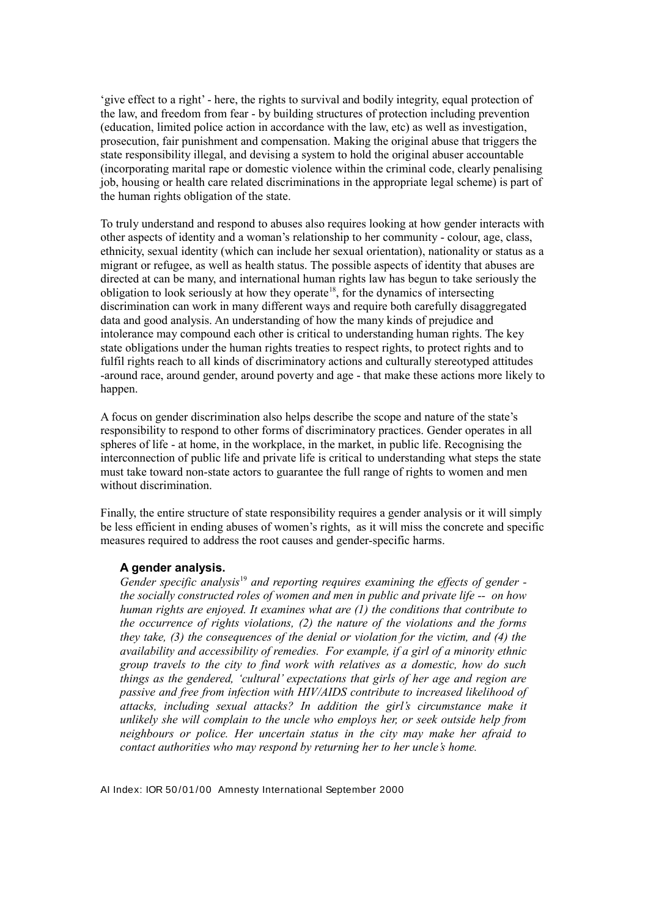'give effect to a right' - here, the rights to survival and bodily integrity, equal protection of the law, and freedom from fear - by building structures of protection including prevention (education, limited police action in accordance with the law, etc) as well as investigation, prosecution, fair punishment and compensation. Making the original abuse that triggers the state responsibility illegal, and devising a system to hold the original abuser accountable (incorporating marital rape or domestic violence within the criminal code, clearly penalising job, housing or health care related discriminations in the appropriate legal scheme) is part of the human rights obligation of the state.

To truly understand and respond to abuses also requires looking at how gender interacts with other aspects of identity and a woman's relationship to her community - colour, age, class, ethnicity, sexual identity (which can include her sexual orientation), nationality or status as a migrant or refugee, as well as health status. The possible aspects of identity that abuses are directed at can be many, and international human rights law has begun to take seriously the obligation to look seriously at how they operate<sup>18</sup>, for the dynamics of intersecting discrimination can work in many different ways and require both carefully disaggregated data and good analysis. An understanding of how the many kinds of prejudice and intolerance may compound each other is critical to understanding human rights. The key state obligations under the human rights treaties to respect rights, to protect rights and to fulfil rights reach to all kinds of discriminatory actions and culturally stereotyped attitudes -around race, around gender, around poverty and age - that make these actions more likely to happen.

A focus on gender discrimination also helps describe the scope and nature of the state's responsibility to respond to other forms of discriminatory practices. Gender operates in all spheres of life - at home, in the workplace, in the market, in public life. Recognising the interconnection of public life and private life is critical to understanding what steps the state must take toward non-state actors to guarantee the full range of rights to women and men without discrimination.

Finally, the entire structure of state responsibility requires a gender analysis or it will simply be less efficient in ending abuses of women's rights, as it will miss the concrete and specific measures required to address the root causes and gender-specific harms.

#### **A gender analysis.**

*Gender specific analysis*<sup>19</sup> *and reporting requires examining the effects of gender the socially constructed roles of women and men in public and private life -- on how human rights are enjoyed. It examines what are (1) the conditions that contribute to the occurrence of rights violations, (2) the nature of the violations and the forms they take, (3) the consequences of the denial or violation for the victim, and (4) the availability and accessibility of remedies. For example, if a girl of a minority ethnic group travels to the city to find work with relatives as a domestic, how do such things as the gendered, 'cultural' expectations that girls of her age and region are passive and free from infection with HIV/AIDS contribute to increased likelihood of attacks, including sexual attacks? In addition the girl's circumstance make it unlikely she will complain to the uncle who employs her, or seek outside help from neighbours or police. Her uncertain status in the city may make her afraid to contact authorities who may respond by returning her to her uncle's home.*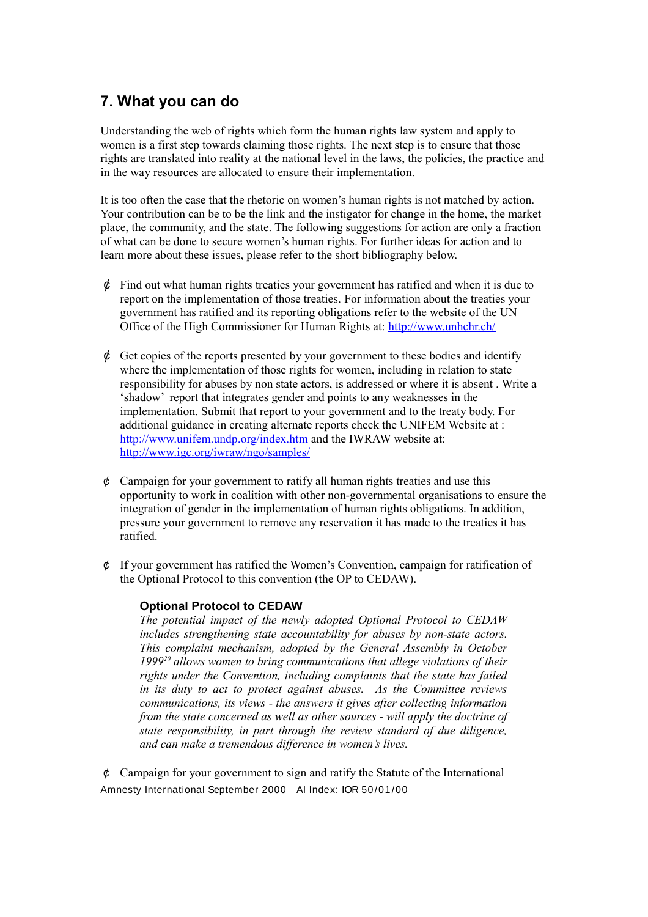# **7. What you can do**

Understanding the web of rights which form the human rights law system and apply to women is a first step towards claiming those rights. The next step is to ensure that those rights are translated into reality at the national level in the laws, the policies, the practice and in the way resources are allocated to ensure their implementation.

It is too often the case that the rhetoric on women's human rights is not matched by action. Your contribution can be to be the link and the instigator for change in the home, the market place, the community, and the state. The following suggestions for action are only a fraction of what can be done to secure women's human rights. For further ideas for action and to learn more about these issues, please refer to the short bibliography below.

- $\phi$  Find out what human rights treaties your government has ratified and when it is due to report on the implementation of those treaties. For information about the treaties your government has ratified and its reporting obligations refer to the website of the UN Office of the High Commissioner for Human Rights at: http://www.unhchr.ch/
- $\phi$  Get copies of the reports presented by your government to these bodies and identify where the implementation of those rights for women, including in relation to state responsibility for abuses by non state actors, is addressed or where it is absent . Write a 'shadow' report that integrates gender and points to any weaknesses in the implementation. Submit that report to your government and to the treaty body. For additional guidance in creating alternate reports check the UNIFEM Website at : http://www.unifem.undp.org/index.htm and the IWRAW website at: http://www.igc.org/iwraw/ngo/samples/
- $\phi$  Campaign for your government to ratify all human rights treaties and use this opportunity to work in coalition with other non-governmental organisations to ensure the integration of gender in the implementation of human rights obligations. In addition, pressure your government to remove any reservation it has made to the treaties it has ratified.
- ¢ If your government has ratified the Women's Convention, campaign for ratification of the Optional Protocol to this convention (the OP to CEDAW).

### **Optional Protocol to CEDAW**

*The potential impact of the newly adopted Optional Protocol to CEDAW includes strengthening state accountability for abuses by non-state actors. This complaint mechanism, adopted by the General Assembly in October 1999<sup>20</sup> allows women to bring communications that allege violations of their rights under the Convention, including complaints that the state has failed in its duty to act to protect against abuses. As the Committee reviews communications, its views - the answers it gives after collecting information from the state concerned as well as other sources - will apply the doctrine of state responsibility, in part through the review standard of due diligence, and can make a tremendous difference in women's lives.*

¢ Campaign for your government to sign and ratify the Statute of the International Amnesty International September 2000 AI Index: IOR 50/01/00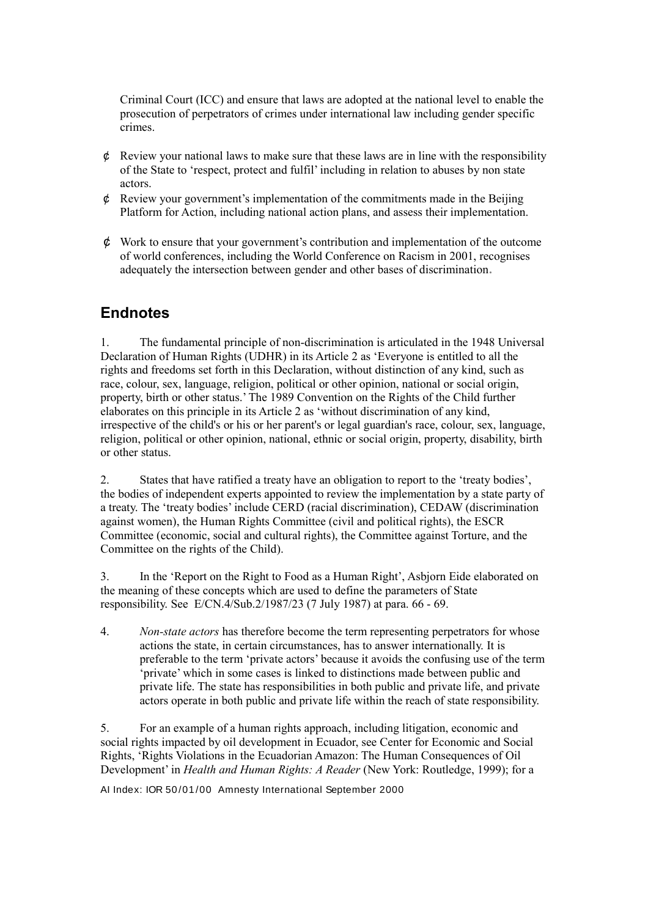Criminal Court (ICC) and ensure that laws are adopted at the national level to enable the prosecution of perpetrators of crimes under international law including gender specific crimes.

- $\phi$  Review your national laws to make sure that these laws are in line with the responsibility of the State to 'respect, protect and fulfil' including in relation to abuses by non state actors.
- ¢ Review your government's implementation of the commitments made in the Beijing Platform for Action, including national action plans, and assess their implementation.
- $\phi$  Work to ensure that your government's contribution and implementation of the outcome of world conferences, including the World Conference on Racism in 2001, recognises adequately the intersection between gender and other bases of discrimination**.**

# **Endnotes**

1. The fundamental principle of non-discrimination is articulated in the 1948 Universal Declaration of Human Rights (UDHR) in its Article 2 as 'Everyone is entitled to all the rights and freedoms set forth in this Declaration, without distinction of any kind, such as race, colour, sex, language, religion, political or other opinion, national or social origin, property, birth or other status.' The 1989 Convention on the Rights of the Child further elaborates on this principle in its Article 2 as 'without discrimination of any kind, irrespective of the child's or his or her parent's or legal guardian's race, colour, sex, language, religion, political or other opinion, national, ethnic or social origin, property, disability, birth or other status.

2. States that have ratified a treaty have an obligation to report to the 'treaty bodies', the bodies of independent experts appointed to review the implementation by a state party of a treaty. The 'treaty bodies' include CERD (racial discrimination), CEDAW (discrimination against women), the Human Rights Committee (civil and political rights), the ESCR Committee (economic, social and cultural rights), the Committee against Torture, and the Committee on the rights of the Child).

3. In the 'Report on the Right to Food as a Human Right', Asbjorn Eide elaborated on the meaning of these concepts which are used to define the parameters of State responsibility. See E/CN.4/Sub.2/1987/23 (7 July 1987) at para. 66 - 69.

4. *Non-state actors* has therefore become the term representing perpetrators for whose actions the state, in certain circumstances, has to answer internationally. It is preferable to the term 'private actors' because it avoids the confusing use of the term 'private' which in some cases is linked to distinctions made between public and private life. The state has responsibilities in both public and private life, and private actors operate in both public and private life within the reach of state responsibility.

5. For an example of a human rights approach, including litigation, economic and social rights impacted by oil development in Ecuador, see Center for Economic and Social Rights, 'Rights Violations in the Ecuadorian Amazon: The Human Consequences of Oil Development' in *Health and Human Rights: A Reader* (New York: Routledge, 1999); for a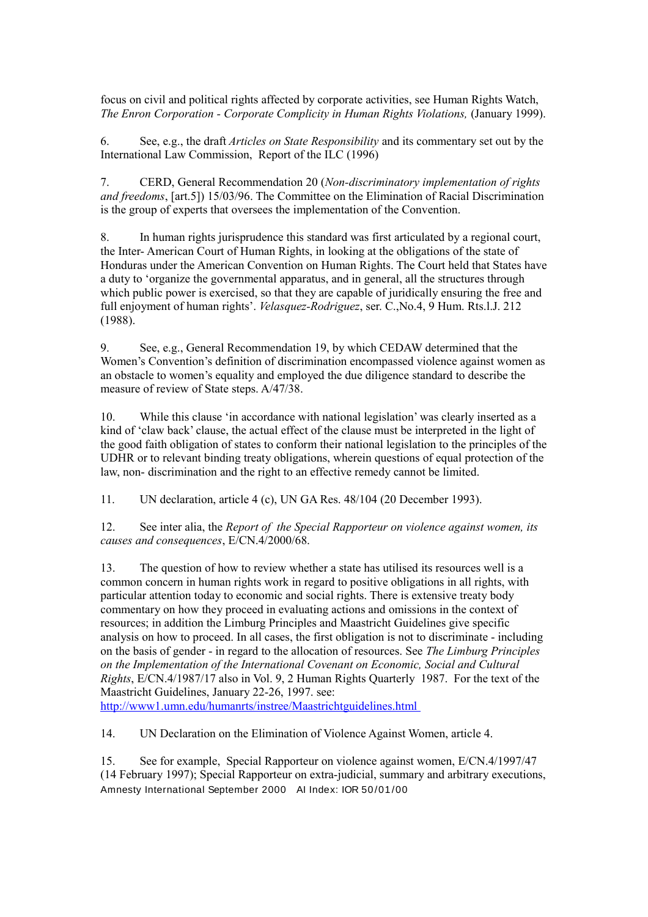focus on civil and political rights affected by corporate activities, see Human Rights Watch, *The Enron Corporation - Corporate Complicity in Human Rights Violations,* (January 1999).

6. See, e.g., the draft *Articles on State Responsibility* and its commentary set out by the International Law Commission, Report of the ILC (1996)

7. CERD, General Recommendation 20 (*Non-discriminatory implementation of rights and freedoms*, [art.5]) 15/03/96. The Committee on the Elimination of Racial Discrimination is the group of experts that oversees the implementation of the Convention.

8. In human rights jurisprudence this standard was first articulated by a regional court, the Inter- American Court of Human Rights, in looking at the obligations of the state of Honduras under the American Convention on Human Rights. The Court held that States have a duty to 'organize the governmental apparatus, and in general, all the structures through which public power is exercised, so that they are capable of juridically ensuring the free and full enjoyment of human rights'. *Velasquez-Rodriguez*, ser. C.,No.4, 9 Hum. Rts.l.J. 212 (1988).

9. See, e.g., General Recommendation 19, by which CEDAW determined that the Women's Convention's definition of discrimination encompassed violence against women as an obstacle to women's equality and employed the due diligence standard to describe the measure of review of State steps.  $A/47/38$ .

10. While this clause 'in accordance with national legislation' was clearly inserted as a kind of 'claw back' clause, the actual effect of the clause must be interpreted in the light of the good faith obligation of states to conform their national legislation to the principles of the UDHR or to relevant binding treaty obligations, wherein questions of equal protection of the law, non- discrimination and the right to an effective remedy cannot be limited.

11. UN declaration, article 4 (c), UN GA Res. 48/104 (20 December 1993).

12. See inter alia, the *Report of the Special Rapporteur on violence against women, its causes and consequences*, E/CN.4/2000/68.

13. The question of how to review whether a state has utilised its resources well is a common concern in human rights work in regard to positive obligations in all rights, with particular attention today to economic and social rights. There is extensive treaty body commentary on how they proceed in evaluating actions and omissions in the context of resources; in addition the Limburg Principles and Maastricht Guidelines give specific analysis on how to proceed. In all cases, the first obligation is not to discriminate - including on the basis of gender - in regard to the allocation of resources. See *The Limburg Principles on the Implementation of the International Covenant on Economic, Social and Cultural Rights*, E/CN.4/1987/17 also in Vol. 9, 2 Human Rights Quarterly 1987. For the text of the Maastricht Guidelines, January 22-26, 1997. see: http://www1.umn.edu/humanrts/instree/Maastrichtguidelines.html

14. UN Declaration on the Elimination of Violence Against Women, article 4.

15. See for example, Special Rapporteur on violence against women, E/CN.4/1997/47 (14 February 1997); Special Rapporteur on extra-judicial, summary and arbitrary executions, Amnesty International September 2000 AI Index: IOR 50/01/00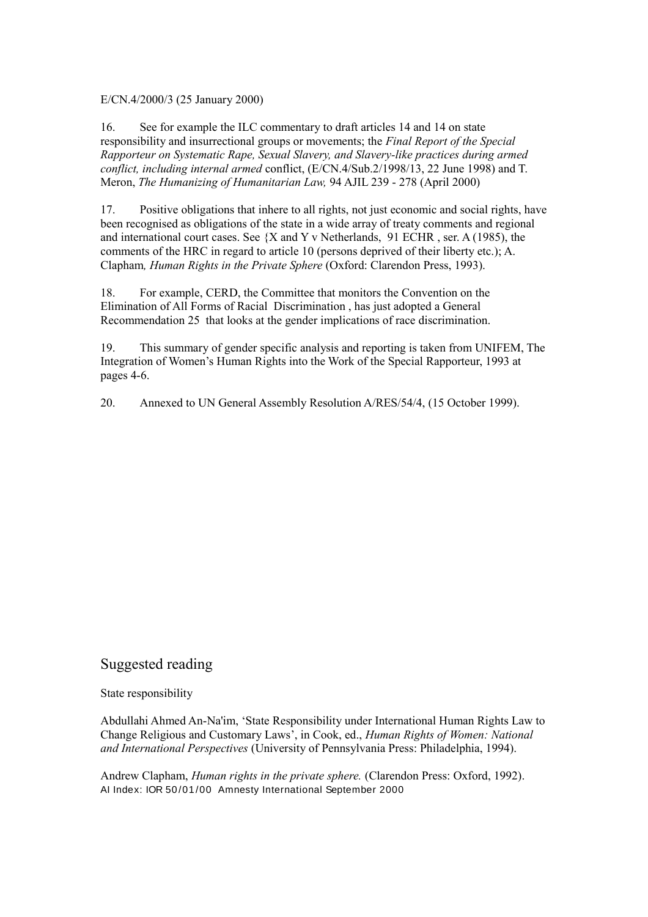E/CN.4/2000/3 (25 January 2000)

16. See for example the ILC commentary to draft articles 14 and 14 on state responsibility and insurrectional groups or movements; the *Final Report of the Special Rapporteur on Systematic Rape, Sexual Slavery, and Slavery-like practices during armed conflict, including internal armed* conflict, (E/CN.4/Sub.2/1998/13, 22 June 1998) and T. Meron, *The Humanizing of Humanitarian Law,* 94 AJIL 239 - 278 (April 2000)

17. Positive obligations that inhere to all rights, not just economic and social rights, have been recognised as obligations of the state in a wide array of treaty comments and regional and international court cases. See {X and Y v Netherlands, 91 ECHR , ser. A (1985), the comments of the HRC in regard to article 10 (persons deprived of their liberty etc.); A. Clapham*, Human Rights in the Private Sphere* (Oxford: Clarendon Press, 1993).

18. For example, CERD, the Committee that monitors the Convention on the Elimination of All Forms of Racial Discrimination , has just adopted a General Recommendation 25 that looks at the gender implications of race discrimination.

19. This summary of gender specific analysis and reporting is taken from UNIFEM, The Integration of Women's Human Rights into the Work of the Special Rapporteur, 1993 at pages 4-6.

20. Annexed to UN General Assembly Resolution A/RES/54/4, (15 October 1999).

### Suggested reading

State responsibility

Abdullahi Ahmed An-Na'im, 'State Responsibility under International Human Rights Law to Change Religious and Customary Laws', in Cook, ed., *Human Rights of Women: National and International Perspectives* (University of Pennsylvania Press: Philadelphia, 1994).

Andrew Clapham, *Human rights in the private sphere.* (Clarendon Press: Oxford, 1992). AI Index: IOR 50 /01 /00 Amnesty International September 2000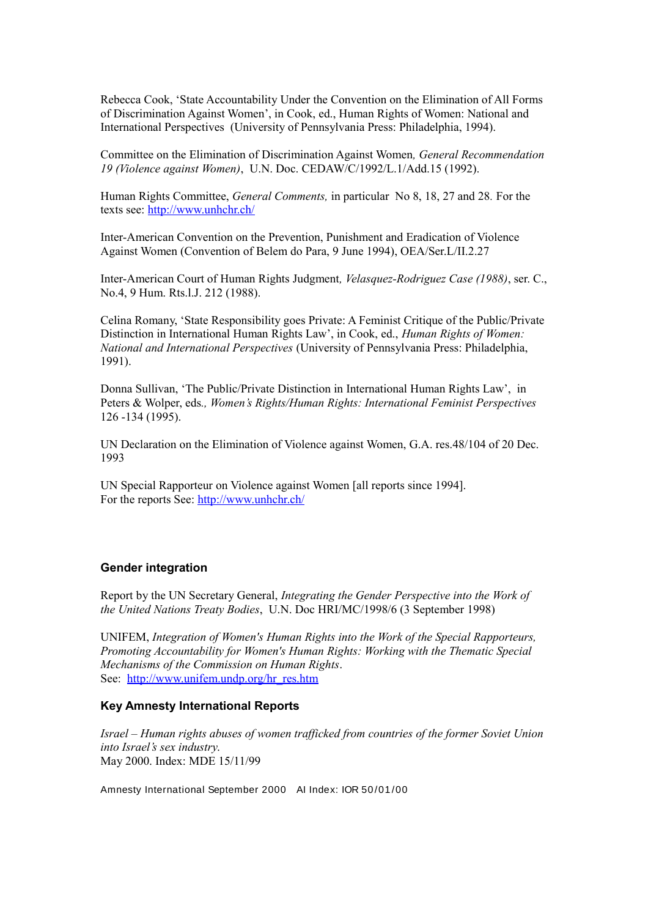Rebecca Cook, 'State Accountability Under the Convention on the Elimination of All Forms of Discrimination Against Women', in Cook, ed., Human Rights of Women: National and International Perspectives (University of Pennsylvania Press: Philadelphia, 1994).

Committee on the Elimination of Discrimination Against Women*, General Recommendation 19 (Violence against Women)*, U.N. Doc. CEDAW/C/1992/L.1/Add.15 (1992).

Human Rights Committee, *General Comments,* in particular No 8, 18, 27 and 28*.* For the texts see: http://www.unhchr.ch/

Inter-American Convention on the Prevention, Punishment and Eradication of Violence Against Women (Convention of Belem do Para, 9 June 1994), OEA/Ser.L/II.2.27

Inter-American Court of Human Rights Judgment*, Velasquez-Rodriguez Case (1988)*, ser. C., No.4, 9 Hum. Rts.l.J. 212 (1988).

Celina Romany, 'State Responsibility goes Private: A Feminist Critique of the Public/Private Distinction in International Human Rights Law', in Cook, ed., *Human Rights of Women: National and International Perspectives* (University of Pennsylvania Press: Philadelphia, 1991).

Donna Sullivan, 'The Public/Private Distinction in International Human Rights Law', in Peters & Wolper, eds*., Women's Rights/Human Rights: International Feminist Perspectives* 126 -134 (1995).

UN Declaration on the Elimination of Violence against Women, G.A. res.48/104 of 20 Dec. 1993

UN Special Rapporteur on Violence against Women [all reports since 1994]. For the reports See: http://www.unhchr.ch/

#### **Gender integration**

Report by the UN Secretary General, *Integrating the Gender Perspective into the Work of the United Nations Treaty Bodies*, U.N. Doc HRI/MC/1998/6 (3 September 1998)

UNIFEM, *Integration of Women's Human Rights into the Work of the Special Rapporteurs, Promoting Accountability for Women's Human Rights: Working with the Thematic Special Mechanisms of the Commission on Human Rights*. See: http://www.unifem.undp.org/hr\_res.htm

#### **Key Amnesty International Reports**

*Israel – Human rights abuses of women trafficked from countries of the former Soviet Union into Israel's sex industry*. May 2000. Index: MDE 15/11/99